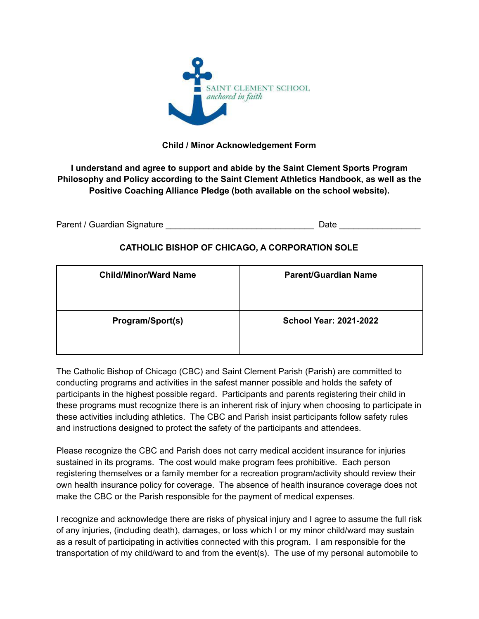

## **Child / Minor Acknowledgement Form**

**I understand and agree to support and abide by the Saint Clement Sports Program Philosophy and Policy according to the Saint Clement Athletics Handbook, as well as the Positive Coaching Alliance Pledge (both available on the school website).**

| Parent / Guardian Signature | Date |
|-----------------------------|------|
|-----------------------------|------|

## **CATHOLIC BISHOP OF CHICAGO, A CORPORATION SOLE**

| <b>Child/Minor/Ward Name</b> | <b>Parent/Guardian Name</b>   |
|------------------------------|-------------------------------|
| Program/Sport(s)             | <b>School Year: 2021-2022</b> |

The Catholic Bishop of Chicago (CBC) and Saint Clement Parish (Parish) are committed to conducting programs and activities in the safest manner possible and holds the safety of participants in the highest possible regard. Participants and parents registering their child in these programs must recognize there is an inherent risk of injury when choosing to participate in these activities including athletics. The CBC and Parish insist participants follow safety rules and instructions designed to protect the safety of the participants and attendees.

Please recognize the CBC and Parish does not carry medical accident insurance for injuries sustained in its programs. The cost would make program fees prohibitive. Each person registering themselves or a family member for a recreation program/activity should review their own health insurance policy for coverage. The absence of health insurance coverage does not make the CBC or the Parish responsible for the payment of medical expenses.

I recognize and acknowledge there are risks of physical injury and I agree to assume the full risk of any injuries, (including death), damages, or loss which I or my minor child/ward may sustain as a result of participating in activities connected with this program. I am responsible for the transportation of my child/ward to and from the event(s). The use of my personal automobile to